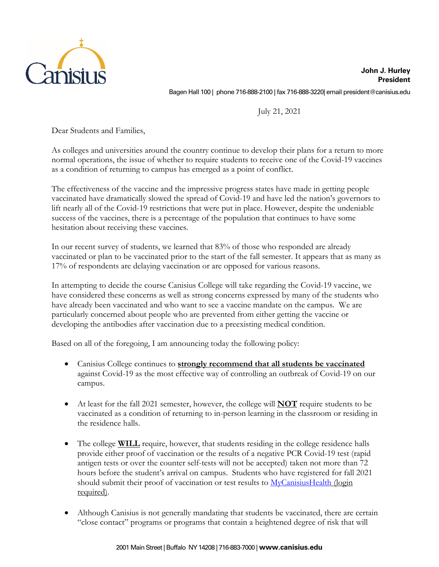

**John J. Hurley President** Bagen Hall 100 | phone 716-888-2100 | fax 716-888-3220| email president@canisius.edu

July 21, 2021

Dear Students and Families,

As colleges and universities around the country continue to develop their plans for a return to more normal operations, the issue of whether to require students to receive one of the Covid-19 vaccines as a condition of returning to campus has emerged as a point of conflict.

The effectiveness of the vaccine and the impressive progress states have made in getting people vaccinated have dramatically slowed the spread of Covid-19 and have led the nation's governors to lift nearly all of the Covid-19 restrictions that were put in place. However, despite the undeniable success of the vaccines, there is a percentage of the population that continues to have some hesitation about receiving these vaccines.

In our recent survey of students, we learned that 83% of those who responded are already vaccinated or plan to be vaccinated prior to the start of the fall semester. It appears that as many as 17% of respondents are delaying vaccination or are opposed for various reasons.

In attempting to decide the course Canisius College will take regarding the Covid-19 vaccine, we have considered these concerns as well as strong concerns expressed by many of the students who have already been vaccinated and who want to see a vaccine mandate on the campus. We are particularly concerned about people who are prevented from either getting the vaccine or developing the antibodies after vaccination due to a preexisting medical condition.

Based on all of the foregoing, I am announcing today the following policy:

- Canisius College continues to **strongly recommend that all students be vaccinated** against Covid-19 as the most effective way of controlling an outbreak of Covid-19 on our campus.
- At least for the fall 2021 semester, however, the college will **NOT** require students to be vaccinated as a condition of returning to in-person learning in the classroom or residing in the residence halls.
- The college **WILL** require, however, that students residing in the college residence halls provide either proof of vaccination or the results of a negative PCR Covid-19 test (rapid antigen tests or over the counter self-tests will not be accepted) taken not more than 72 hours before the student's arrival on campus. Students who have registered for fall 2021 should submit their proof of vaccination or test results to MyCanisiusHealth (login required).
- Although Canisius is not generally mandating that students be vaccinated, there are certain "close contact" programs or programs that contain a heightened degree of risk that will